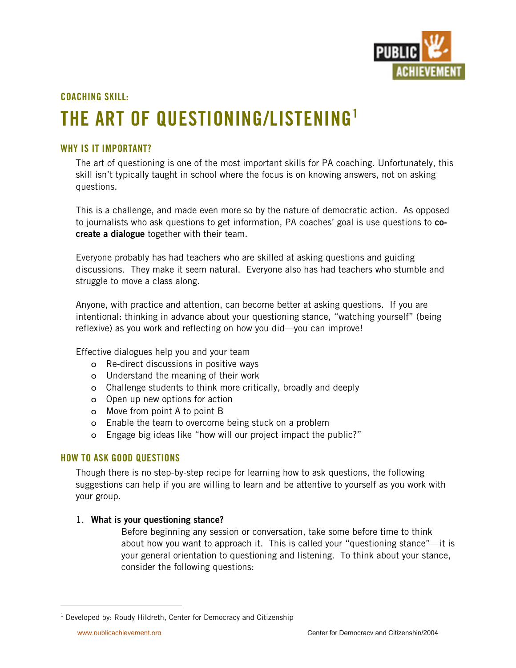

# **COACHING SKILL:**

# **THE ART OF QUESTIONING/LISTENING1**

# **WHY IS IT IMPORTANT?**

The art of questioning is one of the most important skills for PA coaching. Unfortunately, this skill isn't typically taught in school where the focus is on knowing answers, not on asking questions.

This is a challenge, and made even more so by the nature of democratic action. As opposed to journalists who ask questions to get information, PA coaches' goal is use questions to **cocreate a dialogue** together with their team.

Everyone probably has had teachers who are skilled at asking questions and guiding discussions. They make it seem natural. Everyone also has had teachers who stumble and struggle to move a class along.

Anyone, with practice and attention, can become better at asking questions. If you are intentional: thinking in advance about your questioning stance, "watching yourself" (being reflexive) as you work and reflecting on how you did—you can improve!

Effective dialogues help you and your team

- o Re-direct discussions in positive ways
- o Understand the meaning of their work
- o Challenge students to think more critically, broadly and deeply
- o Open up new options for action
- o Move from point A to point B
- o Enable the team to overcome being stuck on a problem
- o Engage big ideas like "how will our project impact the public?"

### **HOW TO ASK GOOD QUESTIONS**

Though there is no step-by-step recipe for learning how to ask questions, the following suggestions can help if you are willing to learn and be attentive to yourself as you work with your group.

# 1. **What is your questioning stance?**

Before beginning any session or conversation, take some before time to think about how you want to approach it. This is called your "questioning stance"—it is your general orientation to questioning and listening. To think about your stance, consider the following questions:

 $\overline{1}$  $1$  Developed by: Roudy Hildreth, Center for Democracy and Citizenship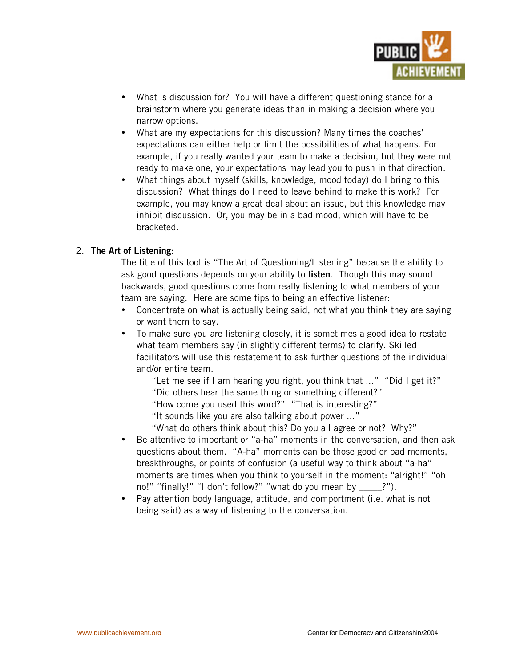

What is discussion for? You will have a different questioning stance for a brainstorm where you generate ideas than in making a decision where you narrow options.

What are my expectations for this discussion? Many times the coaches' expectations can either help or limit the possibilities of what happens. For example, if you really wanted your team to make a decision, but they were not ready to make one, your expectations may lead you to push in that direction. What things about myself (skills, knowledge, mood today) do I bring to this discussion? What things do I need to leave behind to make this work? For example, you may know a great deal about an issue, but this knowledge may inhibit discussion. Or, you may be in a bad mood, which will have to be bracketed.

### 2. **The Art of Listening:**

The title of this tool is "The Art of Questioning/Listening" because the ability to ask good questions depends on your ability to **listen**. Though this may sound backwards, good questions come from really listening to what members of your team are saying. Here are some tips to being an effective listener:

Concentrate on what is actually being said, not what you think they are saying or want them to say.

To make sure you are listening closely, it is sometimes a good idea to restate what team members say (in slightly different terms) to clarify. Skilled facilitators will use this restatement to ask further questions of the individual and/or entire team.

"Let me see if I am hearing you right, you think that ..." "Did I get it?"

"Did others hear the same thing or something different?"

"How come you used this word?" "That is interesting?"

"It sounds like you are also talking about power ..."

"What do others think about this? Do you all agree or not? Why?" Be attentive to important or "a-ha" moments in the conversation, and then ask questions about them. "A-ha" moments can be those good or bad moments, breakthroughs, or points of confusion (a useful way to think about "a-ha" moments are times when you think to yourself in the moment: "alright!" "oh no!" "finally!" "I don't follow?" "what do you mean by ?"). Pay attention body language, attitude, and comportment (i.e. what is not being said) as a way of listening to the conversation.